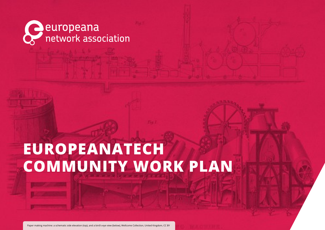

### **EUROPEANATECH COMMUNITY WORK PLAN**

Paper making machine: a schematic side elevation (top), and a bird's-eye view (below), Wellcome Collection, United Kingdom, CC BY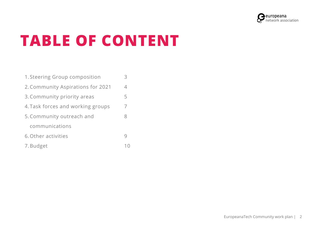

# **TABLE OF CONTENT**

| 1. Steering Group composition     |   |
|-----------------------------------|---|
| 2. Community Aspirations for 2021 | 4 |
| 3. Community priority areas       | 5 |
| 4. Task forces and working groups | 7 |
| 5. Community outreach and         | 8 |
| communications                    |   |
| 6. Other activities               |   |
| 7. Budget                         |   |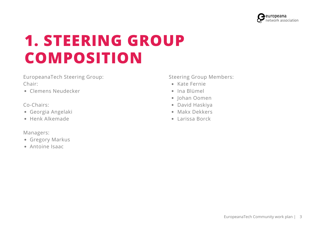

### **1. STEERING GROUP COMPOSITION**

EuropeanaTech Steering Group: Chair:

Clemens Neudecker

Co-Chairs:

- Georgia Angelaki
- Henk Alkemade

Managers:

- Gregory Markus
- Antoine Isaac

Steering Group Members:

- Kate Fernie
- Ina Blümel
- Johan Oomen
- David Haskiya
- Makx Dekkers
- Larissa Borck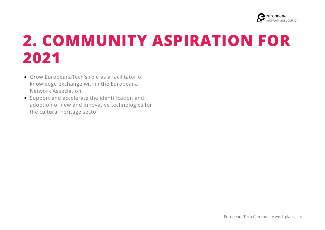

## **2. COMMUNITY ASPIRATION FOR 2021**

- Grow EuropeanaTech's role as a facilitator of knowledge exchange within the Europeana Network Association
- Support and accelerate the identification and adoption of new and innovative technologies for the cultural heritage sector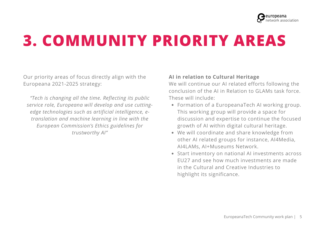

## **3. COMMUNITY PRIORITY AREAS**

Our priority areas of focus directly align with the Europeana 2021-2025 strategy:

*"Tech is changing all the time. Reflecting its public service role, Europeana will develop and use cuttingedge technologies such as artificial intelligence, etranslation and machine learning in line with the European Commission's Ethics guidelines for trustworthy AI"*

#### **AI in relation to Cultural Heritage**

We will continue our AI related efforts following the conclusion of the AI in Relation to GLAMs task force. These will include:

- Formation of a EuropeanaTech AI working group. This working group will provide a space for discussion and expertise to continue the focused growth of AI within digital cultural heritage.
- We will coordinate and share knowledge from other AI related groups for instance, AI4Media, AI4LAMs, AI+Museums Network.
- Start inventory on national AI investments across EU27 and see how much investments are made in the Cultural and Creative Industries to highlight its significance.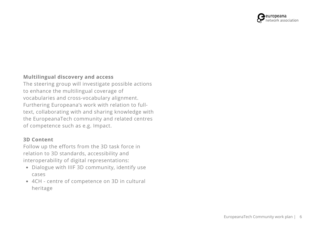

### **Multilingual discovery and access**

The steering group will investigate possible actions to enhance the multilingual coverage of vocabularies and cross-vocabulary alignment. Furthering Europeana's work with relation to fulltext, collaborating with and sharing knowledge with the EuropeanaTech community and related centres of competence such as e.g. Impact.

#### **3D Content**

Follow up the efforts from the 3D task force in relation to 3D standards, accessibility and interoperability of digital representations:

- Dialogue with IIIF 3D community, identify use cases
- 4CH centre of competence on 3D in cultural heritage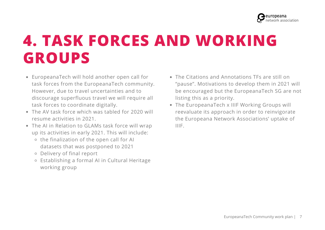

### **4. TASK FORCES AND WORKING GROUPS**

- EuropeanaTech will hold another open call for task forces from the EuropeanaTech community. However, due to travel uncertainties and to discourage superfluous travel we will require all task forces to coordinate digitally.
- The AV task force which was tabled for 2020 will resume activities in 2021.
- The AI in Relation to GLAMs task force will wrap up its activities in early 2021. This will include:
	- $\circ$  the finalization of the open call for AI datasets that was postponed to 2021
	- Delivery of final report
	- Establishing a formal AI in Cultural Heritage working group
- The Citations and Annotations TFs are still on "pause". Motivations to develop them in 2021 will be encouraged but the EuropeanaTech SG are not listing this as a priority.
- The EuropeanaTech x IIIF Working Groups will reevaluate its approach in order to reinvigorate the Europeana Network Associations' uptake of IIIF.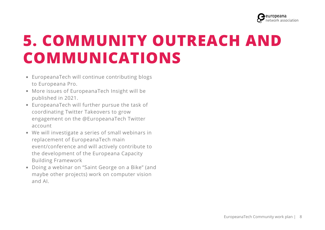

### **5. COMMUNITY OUTREACH AND COMMUNICATIONS**

- EuropeanaTech will continue contributing blogs to Europeana Pro.
- More issues of EuropeanaTech Insight will be published in 2021.
- EuropeanaTech will further pursue the task of coordinating Twitter Takeovers to grow engagement on the @EuropeanaTech Twitter account
- We will investigate a series of small webinars in replacement of EuropeanaTech main event/conference and will actively contribute to the development of the Europeana Capacity Building Framework
- Doing a webinar on "Saint George on a Bike" (and maybe other projects) work on computer vision and AI.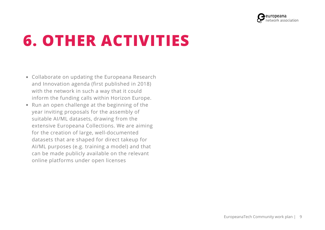

# **6. OTHER ACTIVITIES**

- Collaborate on updating the Europeana Research and Innovation agenda (first published in 2018) with the network in such a way that it could inform the funding calls within Horizon Europe.
- Run an open challenge at the beginning of the year inviting proposals for the assembly of suitable AI/ML datasets, drawing from the extensive Europeana Collections. We are aiming for the creation of large, well-documented datasets that are shaped for direct takeup for AI/ML purposes (e.g. training a model) and that can be made publicly available on the relevant online platforms under open licenses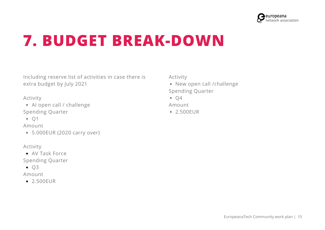

### **7. BUDGET BREAK-DOWN**

Including reserve list of activities in case there is extra budget by July 2021

Activity

AI open call / challenge Spending Quarter

 $\bullet$  01

Amount

5.000EUR (2020 carry over)

Activity

AV Task Force

Spending Quarter

 $\bullet$  Q3

Amount

● 2.500FUR

Activity

• New open call /challenge Spending Quarter

 $\bullet$  Q4

Amount

• 2.500EUR